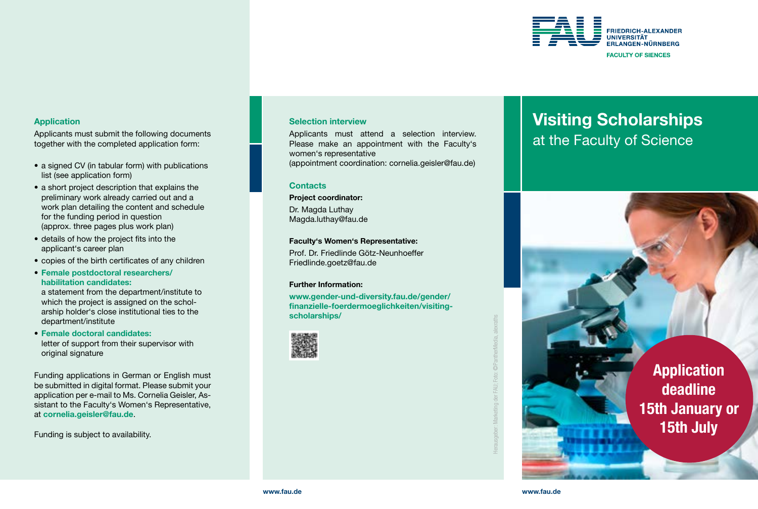

# Application

Applicants must submit the following documents together with the completed application form:

- a signed CV (in tabular form) with publications list (see application form)
- a short project description that explains the preliminary work already carried out and a work plan detailing the content and schedule for the funding period in question (approx. three pages plus work plan)
- details of how the project fits into the applicant's career plan
- copies of the birth certificates of any children
- Female postdoctoral researchers/ habilitation candidates:

a statement from the department/institute to which the project is assigned on the scholarship holder's close institutional ties to the department/institute

• Female doctoral candidates: letter of support from their supervisor with original signature

Funding applications in German or English must be submitted in digital format. Please submit your application per e-mail to Ms. Cornelia Geisler, Assistant to the Faculty's Women's Representative, at [cornelia.geisler@fau.de](mailto:cornelia.geisler@fau.de).

Funding is subject to availability.

### Selection interview

Applicants must attend a selection interview. Please make an appointment with the Faculty's women's representative

(appointment coordination: [cornelia.geisler@fau.de\)](mailto:cornelia.geisler@fau.de)

### **Contacts**

Project coordinator:

Dr. Magda Luthay [Magda.luthay@fau.de](mailto:Magda.luthay@fau.de)

#### Faculty's Women's Representative:

Prof. Dr. Friedlinde Götz-Neunhoeffer [Friedlinde.goetz@fau.de](mailto:Friedlinde.goetz@fau.de) 

#### Further Information:

[www.gender-und-diversity.fau.de/gender/](https://www.gender-und-diversity.fau.de/ gender/finanzielle-foerdermoeglichkeiten/ visiting-scholarships/) [finanzielle-foerdermoeglichkeiten/visiting](https://www.gender-und-diversity.fau.de/ gender/finanzielle-foerdermoeglichkeiten/ visiting-scholarships/)[scholarships/](https://www.gender-und-diversity.fau.de/ gender/finanzielle-foerdermoeglichkeiten/ visiting-scholarships/)



# Visiting Scholarships at the Faculty of Science



Herausgeber: Marketing der FAU; Foto:

©PantherMedia, alexraths